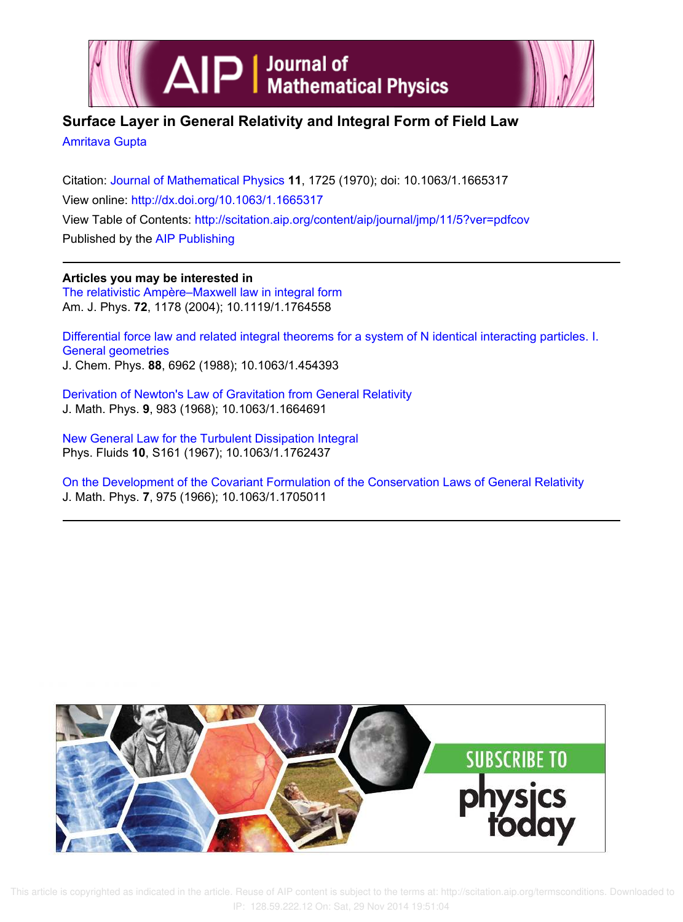



# **Surface Layer in General Relativity and Integral Form of Field Law**

Amritava Gupta

Citation: Journal of Mathematical Physics **11**, 1725 (1970); doi: 10.1063/1.1665317 View online: http://dx.doi.org/10.1063/1.1665317 View Table of Contents: http://scitation.aip.org/content/aip/journal/jmp/11/5?ver=pdfcov Published by the AIP Publishing

**Articles you may be interested in** The relativistic Ampère–Maxwell law in integral form Am. J. Phys. **72**, 1178 (2004); 10.1119/1.1764558

Differential force law and related integral theorems for a system of N identical interacting particles. I. General geometries J. Chem. Phys. **88**, 6962 (1988); 10.1063/1.454393

Derivation of Newton's Law of Gravitation from General Relativity J. Math. Phys. **9**, 983 (1968); 10.1063/1.1664691

New General Law for the Turbulent Dissipation Integral Phys. Fluids **10**, S161 (1967); 10.1063/1.1762437

On the Development of the Covariant Formulation of the Conservation Laws of General Relativity J. Math. Phys. **7**, 975 (1966); 10.1063/1.1705011



 This article is copyrighted as indicated in the article. Reuse of AIP content is subject to the terms at: http://scitation.aip.org/termsconditions. Downloaded to IP: 128.59.222.12 On: Sat, 29 Nov 2014 19:51:04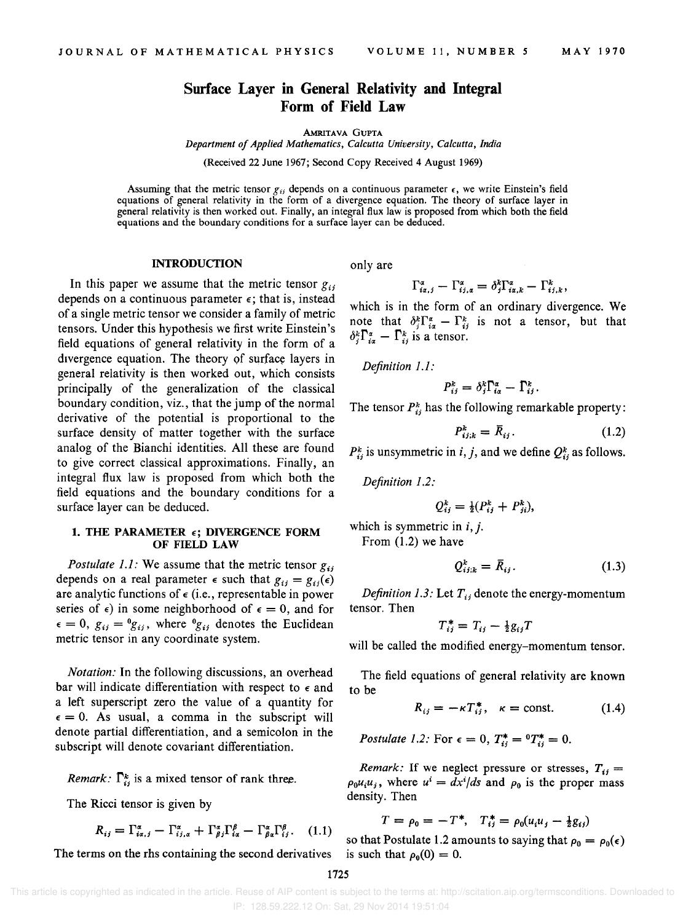# **Surface Layer in General Relativity and Integral Form of Field Law**

AMRITAVA GUPTA

*Department of Applied Mathematics, Calcutta University, Calcutta, India* 

(Received 22 June 1967; Second Copy Received 4 August 1969)

Assuming that the metric tensor  $g_{ij}$  depends on a continuous parameter  $\epsilon$ , we write Einstein's field equations of general relativity in the form of a divergence equation. The theory of surface layer in general relativity is then worked out. Finally, an integral flux law is proposed from which both the field equations and the boundary conditions for a surface layer can be deduced.

### INTRODUCTION

In this paper we assume that the metric tensor  $g_{ij}$ depends on a continuous parameter  $\epsilon$ ; that is, instead of a single metric tensor we consider a family of metric tensors. Under this hypothesis we first write Einstein's field equations of general relativity in the form of a divergence equation. The theory of surface layers in general relativity is then worked out, which consists principally of the generalization of the classical boundary condition, viz., that the jump of the normal derivative of the potential is proportional to the surface density of matter together with the surface analog of the Bianchi identities. All these are found to give correct classical approximations. Finally, an integral flux law is proposed from which both the field equations and the boundary conditions for a surface layer can be deduced.

# 1. THE PARAMETER  $\epsilon$ ; DIVERGENCE FORM OF FIELD LAW

*Postulate 1.1:* We assume that the metric tensor  $g_{ij}$ depends on a real parameter  $\epsilon$  such that  $g_{ij} = g_{ij}(\epsilon)$ are analytic functions of  $\epsilon$  (i.e., representable in power series of  $\epsilon$ ) in some neighborhood of  $\epsilon = 0$ , and for  $\epsilon = 0$ ,  $g_{ij} = {}^0g_{ij}$ , where  ${}^0g_{ij}$  denotes the Euclidean metric tensor in any coordinate system.

*Notation:* In the following discussions, an overhead bar will indicate differentiation with respect to  $\epsilon$  and a left superscript zero the value of a quantity for  $\epsilon = 0$ . As usual, a comma in the subscript will denote partial differentiation, and a semicolon in the subscript will denote covariant differentiation.

*Remark:*  $\Gamma_{ij}^k$  is a mixed tensor of rank three.

The Ricci tensor is given by

$$
R_{ij} = \Gamma_{i\alpha,j}^{\alpha} - \Gamma_{i\,j,\alpha}^{\alpha} + \Gamma_{\beta\,j}^{\alpha} \Gamma_{i\alpha}^{\beta} - \Gamma_{\beta\alpha}^{\alpha} \Gamma_{i\,j}^{\beta}.
$$
 (1.1)

The terms on the rhs containing the second derivatives is such that  $\rho_0(0) = 0$ .

only are

$$
\Gamma_{ia,j}^{\alpha} - \Gamma_{ij,\alpha}^{\alpha} = \delta_j^k \Gamma_{ia,k}^{\alpha} - \Gamma_{ij,k}^k,
$$

which is in the form of an ordinary divergence. We note that  $\delta_i^k \Gamma_{i\alpha}^{\alpha} - \Gamma_{ij}^k$  is not a tensor, but that  $\delta_i^k \Gamma_{i\alpha}^{\alpha} - \Gamma_{i\beta}^k$  is a tensor.

*Definition* 1.1:

$$
P_{ij}^k = \delta_j^k \Gamma_{i\alpha}^{\alpha} - \Gamma_{ij}^k.
$$

The tensor  $P_{ij}^k$  has the following remarkable property:

$$
P_{ij;k}^k = \bar{R}_{ij}.
$$
 (1.2)

 $P_{ij}^k$  is unsymmetric in *i*, *j*, and we define  $Q_{ij}^k$  as follows.

*Definition* 1.2:

$$
Q_{ij}^k = \frac{1}{2}(P_{ij}^k + P_{ji}^k),
$$

which is symmetric in 
$$
i, j
$$
. From (1.2) we have

 $Q_{i,j,k}^k = \bar{R}_{ij}.$ (1.3)

*Definition 1.3:* Let  $T_{ij}$  denote the energy-momentum tensor. Then

$$
T_{ij}^* = T_{ij} - \frac{1}{2}g_{ij}T
$$

will be called the modified energy-momentum tensor.

The field equations of general relativity are known to be

$$
R_{ij} = -\kappa T_{ij}^*, \quad \kappa = \text{const.} \tag{1.4}
$$

*Postulate 1.2:* For  $\epsilon = 0$ ,  $T_{ij}^* = {}^0T_{ij}^* = 0$ .

*Remark:* If we neglect pressure or stresses,  $T_{ij} =$  $\rho_0 u_i u_j$ , where  $u^i = dx^i/ds$  and  $\rho_0$  is the proper mass density. Then

$$
T = \rho_0 = -T^*, \quad T_{ij}^* = \rho_0(u_i u_j - \frac{1}{2}g_{ij})
$$

 $R_{ij} = \Gamma_{i\alpha,i}^{\alpha} - \Gamma_{ij,\alpha}^{\alpha} + \Gamma_{\beta,i}^{\alpha} \Gamma_{i\alpha}^{\beta} - \Gamma_{\beta\alpha}^{\alpha} \Gamma_{ij}^{\beta}$ . (1.1) so that Postulate 1.2 amounts to saying that  $\rho_0 = \rho_0(\epsilon)$ 

1725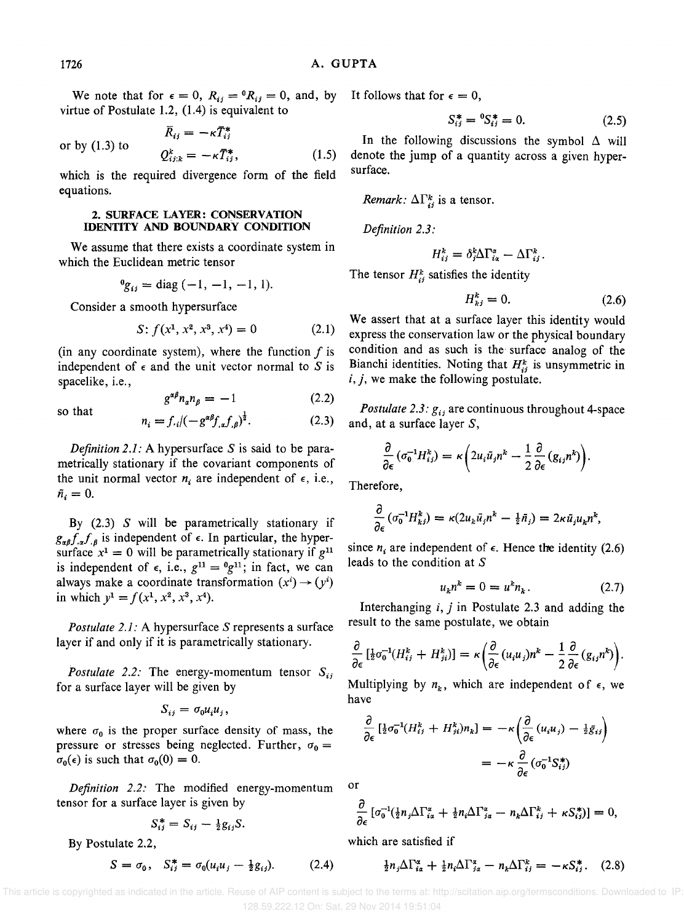We note that for  $\epsilon = 0$ ,  $R_{ij} = {}^0R_{ij} = 0$ , and, by virtue of Postulate 1.2, (1.4) is equivalent to

or by  $(1.3)$  to  $\bar{R}_{ii} = -\kappa \bar{T}_{ii}^*$  $Q_{ijk}^k = -\kappa \bar{T}_{ij}^*,$  (1.5)

which is the required divergence form of the field equations.

# 2. SURFACE LAYER: CONSERVATION IDENTITY AND BOUNDARY CONDITION

We assume that there exists a coordinate system in which the Euclidean metric tensor

$$
{}^0g_{ij} = \text{diag}(-1, -1, -1, 1).
$$

Consider a smooth hypersurface

$$
S: f(x^1, x^2, x^3, x^4) = 0
$$
 (2.1)

(in any coordinate system), where the function  $f$  is independent of  $\epsilon$  and the unit vector normal to S is spacelike, i.e.,

$$
g^{\alpha\beta}n_{\alpha}n_{\beta} = -1 \tag{2.2}
$$

$$
n_i = f_{\cdot i} / (-g^{\alpha \beta} f_{\cdot \alpha} f_{\cdot \beta})^{\frac{1}{2}}.
$$
 (2.3)

*Definition 2.1:* A hypersurface  $S$  is said to be parametrically stationary if the covariant components of the unit normal vector  $n_i$  are independent of  $\epsilon$ , i.e.,  $\tilde{n}_i = 0.$ 

By  $(2.3)$  S will be parametrically stationary if  $g_{\alpha\beta}f_{,\alpha}f_{,\beta}$  is independent of  $\epsilon$ . In particular, the hypersurface  $x^1 = 0$  will be parametrically stationary if  $g^{11}$ is independent of  $\epsilon$ , i.e.,  $g^{11} = {}^0g^{11}$ ; in fact, we can always make a coordinate transformation  $(x^{i}) \rightarrow (y^{i})$ in which  $y^1 = f(x^1, x^2, x^3, x^4)$ .

*Postulate* 2.1: A hypersurface S represents a surface layer if and only if it is parametrically stationary.

*Postulate 2.2:* The energy-momentum tensor  $S_{ij}$ for a surface layer will be given by

$$
S_{ij}=\sigma_0 u_i u_j,
$$

where  $\sigma_0$  is the proper surface density of mass, the pressure or stresses being neglected. Further,  $\sigma_0 =$  $\sigma_0(\epsilon)$  is such that  $\sigma_0(0) = 0$ .

*Definition* 2.2: The modified energy-momentum tensor for a surface layer is given by

$$
S_{ij}^* = S_{ij} - \frac{1}{2}g_{ij}S.
$$

By Postulate 2.2,

$$
S = \sigma_0, \quad S_{ij}^* = \sigma_0(u_i u_j - \frac{1}{2}g_{ij}). \tag{2.4}
$$

It follows that for  $\epsilon = 0$ ,

$$
S_{ij}^* = {}^0S_{ij}^* = 0. \tag{2.5}
$$

In the following discussions the symbol  $\Delta$  will denote the jump of a quantity across a given hypersurface.

*Remark:*  $\Delta\Gamma_{ii}^{k}$  is a tensor.

*Definition 2.3:* 

$$
H_{ij}^k = \delta_j^k \Delta \Gamma_{i\alpha}^{\alpha} - \Delta \Gamma_{ij}^k.
$$

The tensor  $H_{ij}^k$  satisfies the identity

$$
H_{kj}^k = 0. \tag{2.6}
$$

We assert that at a surface layer this identity would express the conservation law or the physical boundary condition and as such is the surface analog of the Bianchi identities. Noting that  $H_{ii}^k$  is unsymmetric in  $i, j$ , we make the following postulate.

*Postulate 2.3:*  $g_{ij}$  are continuous throughout 4-space and, at a surface layer S,

$$
\frac{\partial}{\partial \epsilon} \left( \sigma_0^{-1} H_{ij}^k \right) = \kappa \left( 2 u_i \bar{u}_j n^k - \frac{1}{2} \frac{\partial}{\partial \epsilon} \left( g_{ij} n^k \right) \right).
$$

Therefore,

$$
\frac{\partial}{\partial \epsilon} \left( \sigma_0^{-1} H_{ki}^k \right) = \kappa (2u_k \bar{u}_j n^k - \frac{1}{2} \bar{n}_j) = 2\kappa \bar{u}_j u_k n^k,
$$

since  $n_i$  are independent of  $\epsilon$ . Hence the identity (2.6) leads to the condition at S

$$
u_k n^k = 0 = u^k n_k. \tag{2.7}
$$

Interchanging i, *j* in Postulate 2.3 and adding the result to the same postulate, we obtain

$$
\frac{\partial}{\partial \epsilon} \left[ \frac{1}{2} \sigma_0^{-1} (H_{ij}^k + H_{ji}^k) \right] = \kappa \left( \frac{\partial}{\partial \epsilon} (u_i u_j) n^k - \frac{1}{2} \frac{\partial}{\partial \epsilon} (g_{ij} n^k) \right).
$$

Multiplying by  $n_k$ , which are independent of  $\epsilon$ , we have

$$
\frac{\partial}{\partial \epsilon} \left[ \frac{1}{2} \sigma_0^{-1} (H_{ij}^k + H_{ji}^k) n_k \right] = -\kappa \left( \frac{\partial}{\partial \epsilon} (u_i u_j) - \frac{1}{2} \bar{g}_{ij} \right)
$$

$$
= -\kappa \frac{\partial}{\partial \epsilon} (\sigma_0^{-1} S_{ij}^*)
$$

or

$$
\frac{\partial}{\partial \epsilon} \left[ \sigma_0^{-1} (\tfrac{1}{2} n_j \Delta \Gamma_{i\alpha}^{\alpha} + \tfrac{1}{2} n_i \Delta \Gamma_{i\alpha}^{\alpha} - n_k \Delta \Gamma_{i\beta}^k + \kappa S_{i\beta}^* ) \right] = 0,
$$

which are satisfied if

$$
n_j \Delta \Gamma_{ia}^{\alpha} + \frac{1}{2} n_i \Delta \Gamma_{ja}^{\alpha} - n_k \Delta \Gamma_{ij}^k = -\kappa S_{ij}^*.
$$
 (2.8)

This article is copyrighted as indicated in the article. Reuse of AIP content is subject to the terms at: http://scitation.aip.org/termsconditions. Downloaded to IP 128.59.222.12 On: Sat, 29 Nov 2014 19:51:04

so that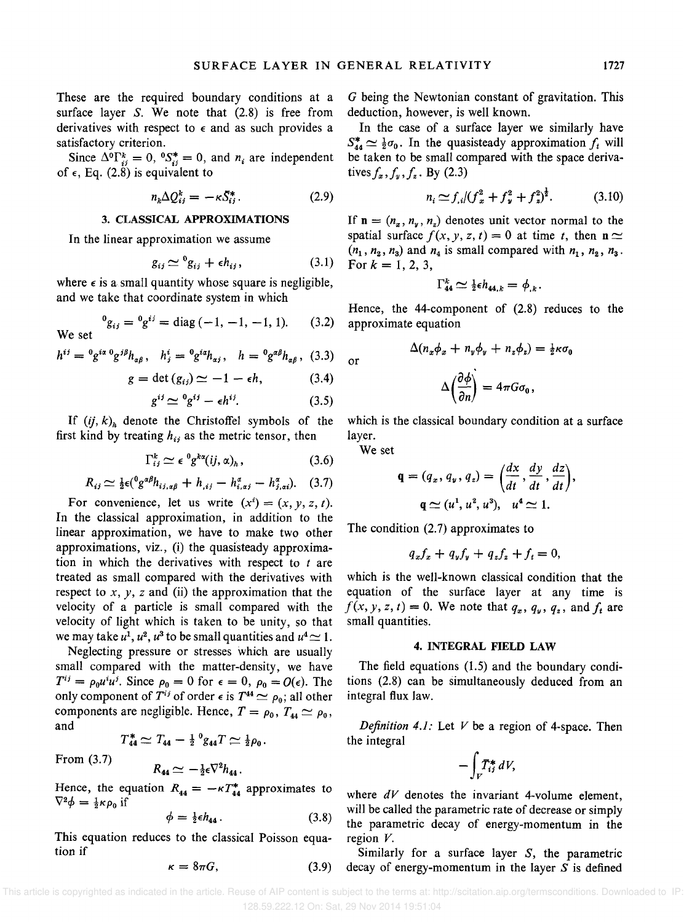These are the required boundary conditions at a surface layer  $S$ . We note that  $(2.8)$  is free from derivatives with respect to  $\epsilon$  and as such provides a satisfactory criterion.

Since  $\Delta^0 \Gamma_{ij}^k = 0$ ,  ${}^0S_{ij}^* = 0$ , and  $n_i$  are independent of  $\epsilon$ , Eq. (2.8) is equivalent to

$$
n_k \Delta Q_{ij}^k = -\kappa \bar{S}_{ij}^*.
$$
 (2.9)

#### 3. CLASSICAL APPROXIMATIONS

In the linear approximation we assume

$$
g_{ij} \simeq {}^{0}g_{ij} + \epsilon h_{ij}, \qquad (3.1)
$$

where  $\epsilon$  is a small quantity whose square is negligible, and we take that coordinate system in which

<sup>0</sup>
$$
g_{ij} = {}^{0}g^{ij} = \text{diag}(-1, -1, -1, 1).
$$
 (3.2)

$$
h^{ij} = {}^{0}g^{ia} {}^{0}g^{j}h_{\alpha\beta}, \quad h^{i}_{j} = {}^{0}g^{ia}h_{\alpha j}, \quad h = {}^{0}g^{\alpha\beta}h_{\alpha\beta}, \quad (3.3)
$$

$$
g = \det(g_{ij}) \simeq -1 - \epsilon h, \tag{3.4}
$$

$$
g^{ij} \simeq {}^{0}g^{ij} - \epsilon h^{ij}.
$$
 (3.5)

If  $(ij, k)$ <sub>h</sub> denote the Christoffel symbols of the first kind by treating  $h_{ij}$  as the metric tensor, then

$$
\Gamma_{ij}^k \simeq \epsilon^0 g^{k\alpha}(ij,\alpha)_h, \qquad (3.6)
$$

$$
R_{ij} \simeq \frac{1}{2} \epsilon({}^0 g^{\alpha\beta} h_{ij,\alpha\beta} + h_{,ij} - h_{i,\alpha j}^{\alpha} - h_{j,\alpha i}^{\alpha}). \quad (3.7)
$$

For convenience, let us write  $(x^{i}) = (x, y, z, t)$ . In the classical approximation, in addition to the linear approximation, we have to make two other approximations, viz., (i) the quasisteady approximation in which the derivatives with respect to  $t$  are treated as small compared with the derivatives with respect to  $x$ ,  $y$ ,  $z$  and (ii) the approximation that the velocity of a particle is small compared with the velocity of light which is taken to be unity, so that we may take  $u^1$ ,  $u^2$ ,  $u^3$  to be small quantities and  $u^4 \simeq 1$ .

Neglecting pressure or stresses which are usually small compared with the matter-density, we have small compared with the matter-density, we have  $T^{ij} = \rho_0 u^i u^j$ . Since  $\rho_0 = 0$  for  $\epsilon = 0$ ,  $\rho_0 = O(\epsilon)$ . The only component of  $T^{ij}$  of order  $\epsilon$  is  $T^{44} \simeq \rho_0$ ; all other components are negligible. Hence,  $T = \rho_0$ ,  $T_{44} \simeq \rho_0$ , and

$$
T_{44}^* \simeq T_{44} - \frac{1}{2} \, \, \,^0g_{44} T \simeq \frac{1}{2} \rho_0 \, .
$$

From (3.7)

We set

$$
R_{44}\simeq -\tfrac{1}{2}\epsilon \nabla^2 h_{44}.
$$

Hence, the equation  $R_{44} = -\kappa T_{44}^*$  approximates to  $\nabla^2 \phi = \frac{1}{2} \kappa \rho_0$  if

$$
\phi = \frac{1}{2} \epsilon h_{44} \,. \tag{3.8}
$$

This equation reduces to the classical Poisson equation if

$$
\kappa = 8\pi G, \tag{3.9}
$$

G being the Newtonian constant of gravitation. This deduction, however, is well known.

In the case of a surface layer we similarly have  $S_{44}^* \simeq \frac{1}{2}\sigma_0$ . In the quasisteady approximation  $f_t$  will be taken to be small compared with the space derivatives  $f_x$ ,  $f_y$ ,  $f_z$ . By (2.3)

$$
n_i \simeq f_{,i} / (f_x^2 + f_y^2 + f_z^2)^{\frac{1}{2}}.
$$
 (3.10)

If  $n = (n_x, n_y, n_z)$  denotes unit vector normal to the spatial surface  $f(x, y, z, t) = 0$  at time *t*, then  $\mathbf{n} \simeq$  $(n_1, n_2, n_3)$  and  $n_4$  is small compared with  $n_1, n_2, n_3$ . For  $k = 1, 2, 3$ ,

$$
\Gamma_{44}^k \simeq \tfrac{1}{2} \epsilon h_{44,k} = \phi_{,k}.
$$

Hence, the 44-component of (2.8) reduces to the approximate equation

$$
\Delta(n_x \phi_x + n_y \phi_y + n_z \phi_z) = \frac{1}{2} \kappa \sigma_0
$$

$$
\Delta\left(\frac{\partial \phi}{\partial n}\right) = 4\pi G \sigma_0,
$$

which is the classical boundary condition at a surface layer.

We set

or

$$
\mathbf{q} = (q_x, q_y, q_z) = \left(\frac{dx}{dt}, \frac{dy}{dt}, \frac{dz}{dt}\right),
$$

$$
\mathbf{q} \simeq (u^1, u^2, u^3), \quad u^4 \simeq 1.
$$

The condition (2.7) approximates to

$$
q_x f_x + q_y f_y + q_z f_z + f_t = 0,
$$

which is the well-known classical condition that the equation of the surface layer at any time is  $f(x, y, z, t) = 0$ . We note that  $q_x, q_y, q_z$ , and  $f_t$  are small quantities.

#### 4. INTEGRAL **FIELD** LAW

The field equations (1.5) and the boundary conditions (2.8) can be simultaneously deduced from an integral flux law.

*Definition* 4.1: Let V be a region of 4-space. Then the integral

$$
-\int_V T_{ij}^* dV,
$$

where *dV* denotes the invariant 4-volume element, will be called the parametric rate of decrease or simply the parametric decay of energy-momentum in the region V.

Similarly for a surface layer S, the parametric decay of energy-momentum in the layer  $S$  is defined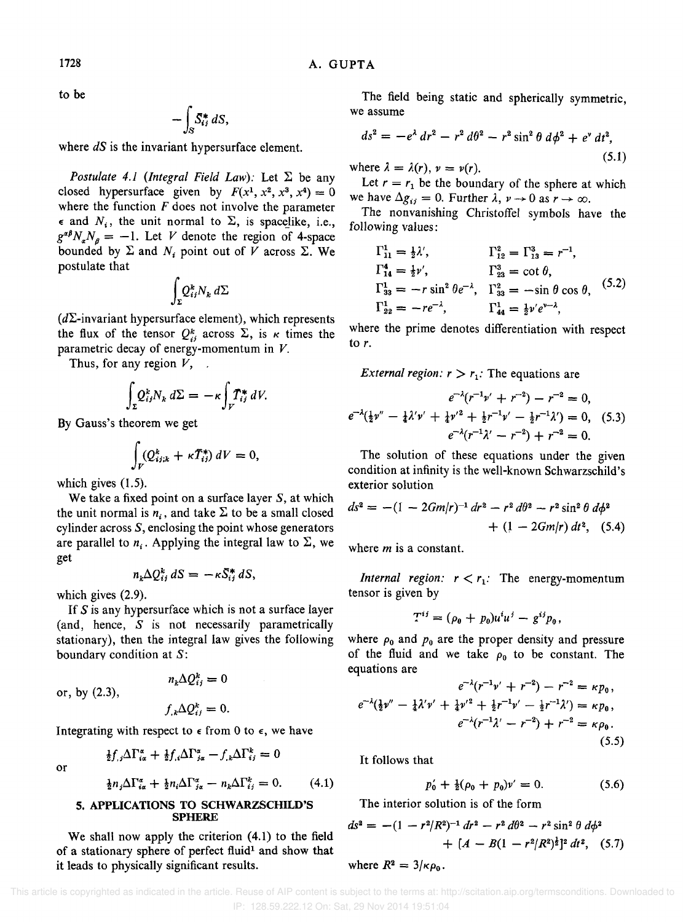to be

$$
-\int_{S} \bar{S}_{ij}^{*} dS,
$$

where *dS* is the invariant hypersurface element.

*Postulate 4.1 (Integral Field Law):* Let  $\Sigma$  be any closed hypersurface given by  $F(x^1, x^2, x^3, x^4) = 0$ where the function  $F$  does not involve the parameter  $\epsilon$  and  $N_i$ , the unit normal to  $\Sigma$ , is spacelike, i.e.,  $g^{\alpha\beta}N_aN_a = -1$ . Let *V* denote the region of 4-space bounded by  $\Sigma$  and  $N_i$  point out of V across  $\Sigma$ . We postulate that

$$
\int_{\Sigma} Q^k_{ij} N_k \, d\Sigma
$$

 $(d\Sigma$ -invariant hypersurface element), which represents the flux of the tensor  $Q_{ij}^k$  across  $\Sigma$ , is *k* times the parametric decay of energy-momentum in V.

Thus, for any region  $V$ , .

$$
\int_{\Sigma} Q_{ij}^k N_k \, d\Sigma = -\kappa \int_V T_{ij}^* \, dV.
$$

By Gauss's theorem we get

$$
\int_V (Q_{ij;k}^k + \kappa \tilde{T}_{ij}^*) dV = 0,
$$

which gives (1.5).

We take a fixed point on a surface layer S, at which the unit normal is  $n_i$ , and take  $\Sigma$  to be a small closed cylinder across  $S$ , enclosing the point whose generators are parallel to  $n_i$ . Applying the integral law to  $\Sigma$ , we get

$$
n_k \Delta Q_{ij}^k dS = -\kappa \bar{S}_{ij}^* dS,
$$

which gives (2.9).

If  $S$  is any hypersurface which is not a surface layer (and, hence, S is not necessarily parametrically stationary), then the integral law gives the following boundary condition at S:

or, by (2.3),

$$
f_{,k}\Delta Q_{ij}^k=0.
$$

 $n_k \Delta Q_{ij}^k = 0$ 

Integrating with respect to  $\epsilon$  from 0 to  $\epsilon$ , we have

$$
\frac{1}{2}f_{,i}\Delta\Gamma_{i\alpha}^{\alpha} + \frac{1}{2}f_{,i}\Delta\Gamma_{j\alpha}^{\alpha} - f_{,k}\Delta\Gamma_{ij}^{k} = 0
$$

or

$$
\frac{1}{2}n_j\Delta\Gamma_{i\alpha}^{\alpha} + \frac{1}{2}n_i\Delta\Gamma_{j\alpha}^{\alpha} - n_k\Delta\Gamma_{ij}^k = 0. \qquad (4.1)
$$

#### 5. APPLICATIONS TO SCHWARZSCHILD'S SPHERE

We shall now apply the criterion (4.1) to the field of a stationary sphere of perfect fluid<sup>1</sup> and show that it leads to physically significant results.

The field being static and spherically symmetric, we assume

$$
ds2 = -e\lambda dr2 - r2 d\theta2 - r2 sin2 \theta d\phi2 + ev dt2,
$$
  
where  $\lambda = \lambda(r)$ ,  $v = v(r)$ . (5.1)

Let  $r = r_1$  be the boundary of the sphere at which we have  $\Delta g_{ij} = 0$ . Further  $\lambda$ ,  $\nu \rightarrow 0$  as  $r \rightarrow \infty$ .

The nonvanishing Christoffel symbols have the following values:

$$
\Gamma_{11}^{1} = \frac{1}{2}\lambda', \qquad \Gamma_{12}^{2} = \Gamma_{13}^{3} = r^{-1},
$$
  
\n
$$
\Gamma_{14}^{4} = \frac{1}{2}\nu', \qquad \Gamma_{23}^{3} = \cot \theta,
$$
  
\n
$$
\Gamma_{33}^{1} = -r \sin^{2} \theta e^{-\lambda}, \quad \Gamma_{33}^{2} = -\sin \theta \cos \theta,
$$
 (5.2)  
\n
$$
\Gamma_{22}^{1} = -re^{-\lambda}, \qquad \Gamma_{44}^{1} = \frac{1}{2}\nu'e^{\nu-\lambda},
$$

where the prime denotes differentiation with respect to r.

*External region:*  $r > r_1$ : The equations are

$$
e^{-\lambda}(r^{-1}\nu' + r^{-2}) - r^{-2} = 0,
$$
  

$$
e^{-\lambda}(\frac{1}{2}\nu'' - \frac{1}{4}\lambda'\nu' + \frac{1}{4}\nu'^2 + \frac{1}{2}r^{-1}\nu' - \frac{1}{2}r^{-1}\lambda') = 0, (5.3)
$$
  

$$
e^{-\lambda}(r^{-1}\lambda' - r^{-2}) + r^{-2} = 0.
$$

The solution of these equations under the given condition at infinity is the well-known Schwarzschild's exterior solution

$$
ds^{2} = -(1 - 2Gm/r)^{-1} dr^{2} - r^{2} d\theta^{2} - r^{2} \sin^{2} \theta d\phi^{2} + (1 - 2Gm/r) dt^{2}, (5.4)
$$

where *m* is a constant.

*Internal region:*  $r < r_1$ : The energy-momentum tensor is given by

$$
T^{ij} = (\rho_0 + p_0)u^i u^j - g^{ij}p_0,
$$

where  $\rho_0$  and  $p_0$  are the proper density and pressure of the fluid and we take  $\rho_0$  to be constant. The equations are

$$
e^{-\lambda}(r^{-1}\nu' + r^{-2}) - r^{-2} = \kappa p_0,
$$
  
\n
$$
e^{-\lambda}(\frac{1}{2}\nu'' - \frac{1}{4}\lambda'\nu' + \frac{1}{4}\nu'^2 + \frac{1}{2}r^{-1}\nu' - \frac{1}{2}r^{-1}\lambda') = \kappa p_0,
$$
  
\n
$$
e^{-\lambda}(r^{-1}\lambda' - r^{-2}) + r^{-2} = \kappa \rho_0.
$$
  
\n(5.5)

It follows that

$$
p'_0 + \frac{1}{2}(\rho_0 + p_0)v' = 0. \tag{5.6}
$$

The interior solution is of the form

$$
ds^{2} = -(1 - r^{2}/R^{2})^{-1} dr^{2} - r^{2} d\theta^{2} - r^{2} \sin^{2} \theta d\phi^{2} + [A - B(1 - r^{2}/R^{2})^{\frac{1}{2}}]^{2} dt^{2}, (5.7)
$$

where  $R^2 = 3/\kappa \rho_0$ .